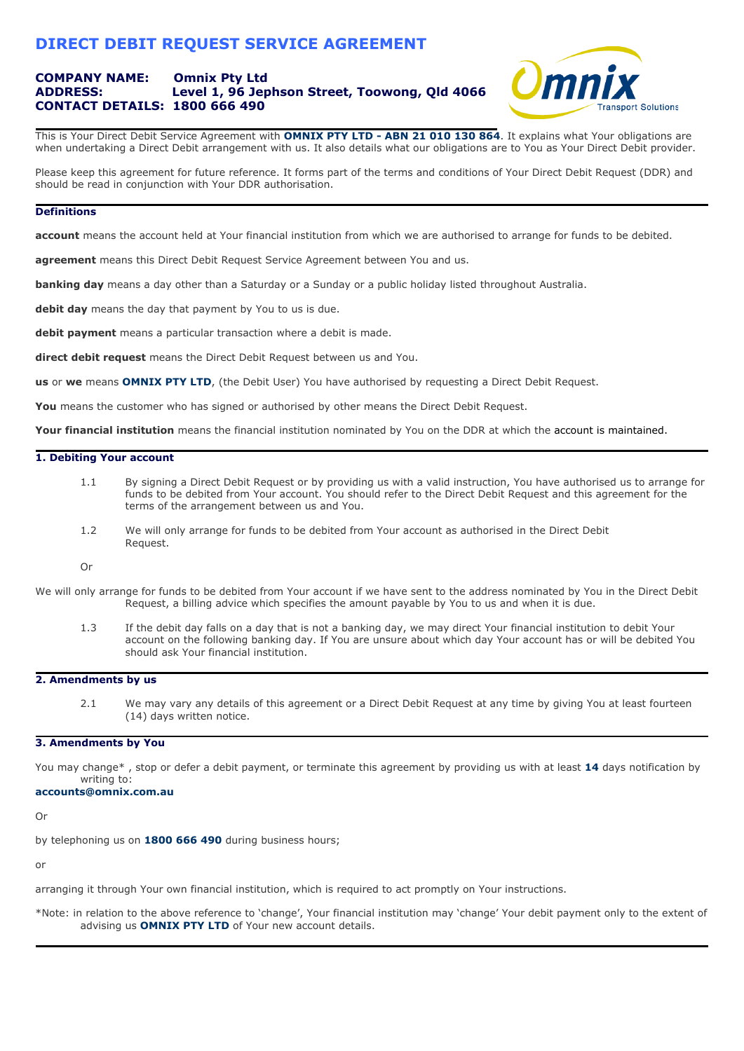# **DIRECT DEBIT REQUEST SERVICE AGREEMENT**

## **COMPANY NAME: Omnix Pty Ltd ADDRESS: Level 1, 96 Jephson Street, Toowong, Qld 4066 CONTACT DETAILS: 1800 666 490**



This is Your Direct Debit Service Agreement with **OMNIX PTY LTD - ABN 21 010 130 864**. It explains what Your obligations are when undertaking a Direct Debit arrangement with us. It also details what our obligations are to You as Your Direct Debit provider.

Please keep this agreement for future reference. It forms part of the terms and conditions of Your Direct Debit Request (DDR) and should be read in conjunction with Your DDR authorisation.

## **Definitions**

**account** means the account held at Your financial institution from which we are authorised to arrange for funds to be debited.

**agreement** means this Direct Debit Request Service Agreement between You and us.

**banking day** means a day other than a Saturday or a Sunday or a public holiday listed throughout Australia.

**debit day** means the day that payment by You to us is due.

**debit payment** means a particular transaction where a debit is made.

**direct debit request** means the Direct Debit Request between us and You.

**us** or **we** means **OMNIX PTY LTD**, (the Debit User) You have authorised by requesting a Direct Debit Request.

You means the customer who has signed or authorised by other means the Direct Debit Request.

**Your financial institution** means the financial institution nominated by You on the DDR at which the account is maintained.

## **1. Debiting Your account**

- 1.1 By signing a Direct Debit Request or by providing us with a valid instruction, You have authorised us to arrange for funds to be debited from Your account. You should refer to the Direct Debit Request and this agreement for the terms of the arrangement between us and You.
- 1.2 We will only arrange for funds to be debited from Your account as authorised in the Direct Debit Request.

Or

- We will only arrange for funds to be debited from Your account if we have sent to the address nominated by You in the Direct Debit Request, a billing advice which specifies the amount payable by You to us and when it is due.
	- 1.3 If the debit day falls on a day that is not a banking day, we may direct Your financial institution to debit Your account on the following banking day. If You are unsure about which day Your account has or will be debited You should ask Your financial institution.

## **2. Amendments by us**

2.1 We may vary any details of this agreement or a Direct Debit Request at any time by giving You at least fourteen (14) days written notice.

### **3. Amendments by You**

You may change\* , stop or defer a debit payment, or terminate this agreement by providing us with at least **14** days notification by writing to:

#### **accounts@omnix.com.au**

Or

by telephoning us on **1800 666 490** during business hours;

or

arranging it through Your own financial institution, which is required to act promptly on Your instructions.

\*Note: in relation to the above reference to 'change', Your financial institution may 'change' Your debit payment only to the extent of advising us **OMNIX PTY LTD** of Your new account details.